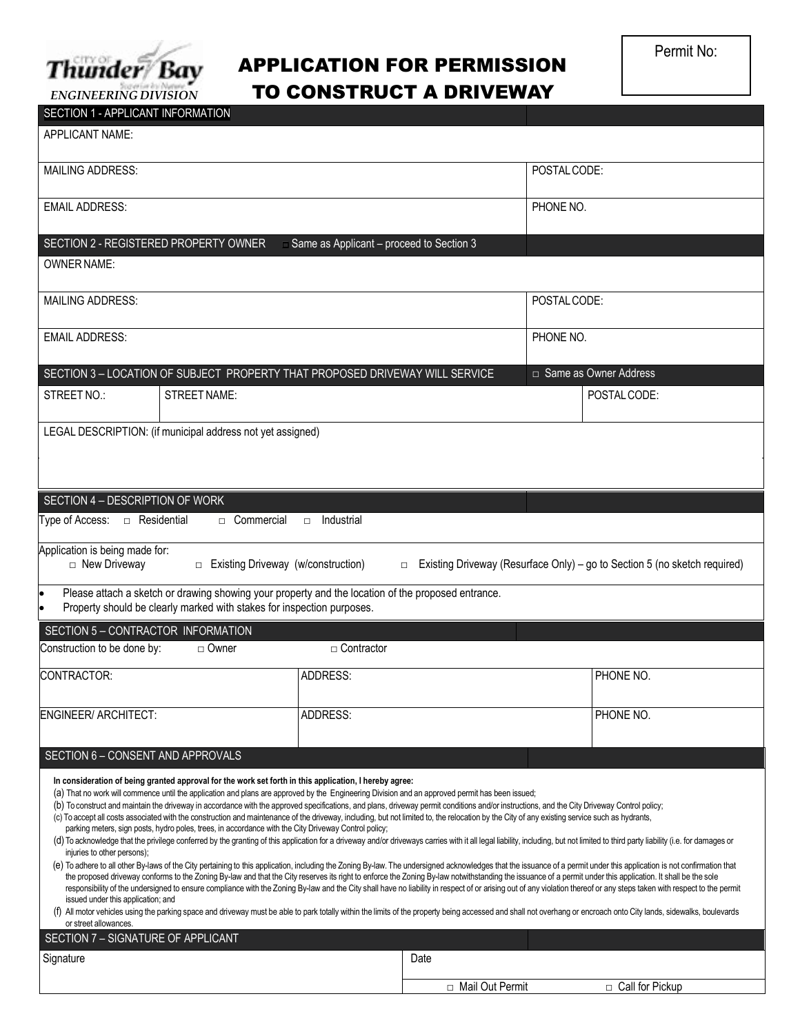

## APPLICATION FOR PERMISSION TO CONSTRUCT A DRIVEWAY

| <b>SECTION 1 - APPLICANT INFORMATION</b>                                                                                         |                                                                                                                                                                                                                                                                                                                                                                                                                                                                                                                                                                                                                                                                                                                                                                   |                                                   |                   |              |                                                                                                                                                                                                                                                                                                                                                                                                                                                                                                                                                                                                                                                                                                                                                                                                                                                                                                                                                                                                                                                                                                                          |
|----------------------------------------------------------------------------------------------------------------------------------|-------------------------------------------------------------------------------------------------------------------------------------------------------------------------------------------------------------------------------------------------------------------------------------------------------------------------------------------------------------------------------------------------------------------------------------------------------------------------------------------------------------------------------------------------------------------------------------------------------------------------------------------------------------------------------------------------------------------------------------------------------------------|---------------------------------------------------|-------------------|--------------|--------------------------------------------------------------------------------------------------------------------------------------------------------------------------------------------------------------------------------------------------------------------------------------------------------------------------------------------------------------------------------------------------------------------------------------------------------------------------------------------------------------------------------------------------------------------------------------------------------------------------------------------------------------------------------------------------------------------------------------------------------------------------------------------------------------------------------------------------------------------------------------------------------------------------------------------------------------------------------------------------------------------------------------------------------------------------------------------------------------------------|
| <b>APPLICANT NAME:</b>                                                                                                           |                                                                                                                                                                                                                                                                                                                                                                                                                                                                                                                                                                                                                                                                                                                                                                   |                                                   |                   |              |                                                                                                                                                                                                                                                                                                                                                                                                                                                                                                                                                                                                                                                                                                                                                                                                                                                                                                                                                                                                                                                                                                                          |
| <b>MAILING ADDRESS:</b>                                                                                                          |                                                                                                                                                                                                                                                                                                                                                                                                                                                                                                                                                                                                                                                                                                                                                                   |                                                   |                   | POSTAL CODE: |                                                                                                                                                                                                                                                                                                                                                                                                                                                                                                                                                                                                                                                                                                                                                                                                                                                                                                                                                                                                                                                                                                                          |
| <b>EMAIL ADDRESS:</b>                                                                                                            |                                                                                                                                                                                                                                                                                                                                                                                                                                                                                                                                                                                                                                                                                                                                                                   |                                                   |                   | PHONE NO.    |                                                                                                                                                                                                                                                                                                                                                                                                                                                                                                                                                                                                                                                                                                                                                                                                                                                                                                                                                                                                                                                                                                                          |
| SECTION 2 - REGISTERED PROPERTY OWNER                                                                                            |                                                                                                                                                                                                                                                                                                                                                                                                                                                                                                                                                                                                                                                                                                                                                                   | $\equiv$ Same as Applicant – proceed to Section 3 |                   |              |                                                                                                                                                                                                                                                                                                                                                                                                                                                                                                                                                                                                                                                                                                                                                                                                                                                                                                                                                                                                                                                                                                                          |
| <b>OWNER NAME:</b>                                                                                                               |                                                                                                                                                                                                                                                                                                                                                                                                                                                                                                                                                                                                                                                                                                                                                                   |                                                   |                   |              |                                                                                                                                                                                                                                                                                                                                                                                                                                                                                                                                                                                                                                                                                                                                                                                                                                                                                                                                                                                                                                                                                                                          |
| <b>MAILING ADDRESS:</b>                                                                                                          |                                                                                                                                                                                                                                                                                                                                                                                                                                                                                                                                                                                                                                                                                                                                                                   |                                                   |                   | POSTAL CODE: |                                                                                                                                                                                                                                                                                                                                                                                                                                                                                                                                                                                                                                                                                                                                                                                                                                                                                                                                                                                                                                                                                                                          |
| <b>EMAIL ADDRESS:</b>                                                                                                            |                                                                                                                                                                                                                                                                                                                                                                                                                                                                                                                                                                                                                                                                                                                                                                   |                                                   |                   | PHONE NO.    |                                                                                                                                                                                                                                                                                                                                                                                                                                                                                                                                                                                                                                                                                                                                                                                                                                                                                                                                                                                                                                                                                                                          |
| SECTION 3 - LOCATION OF SUBJECT PROPERTY THAT PROPOSED DRIVEWAY WILL SERVICE                                                     |                                                                                                                                                                                                                                                                                                                                                                                                                                                                                                                                                                                                                                                                                                                                                                   |                                                   |                   |              | □ Same as Owner Address                                                                                                                                                                                                                                                                                                                                                                                                                                                                                                                                                                                                                                                                                                                                                                                                                                                                                                                                                                                                                                                                                                  |
| STREET NO.:                                                                                                                      | <b>STREET NAME:</b>                                                                                                                                                                                                                                                                                                                                                                                                                                                                                                                                                                                                                                                                                                                                               |                                                   |                   |              | POSTAL CODE:                                                                                                                                                                                                                                                                                                                                                                                                                                                                                                                                                                                                                                                                                                                                                                                                                                                                                                                                                                                                                                                                                                             |
| LEGAL DESCRIPTION: (if municipal address not yet assigned)                                                                       |                                                                                                                                                                                                                                                                                                                                                                                                                                                                                                                                                                                                                                                                                                                                                                   |                                                   |                   |              |                                                                                                                                                                                                                                                                                                                                                                                                                                                                                                                                                                                                                                                                                                                                                                                                                                                                                                                                                                                                                                                                                                                          |
|                                                                                                                                  |                                                                                                                                                                                                                                                                                                                                                                                                                                                                                                                                                                                                                                                                                                                                                                   |                                                   |                   |              |                                                                                                                                                                                                                                                                                                                                                                                                                                                                                                                                                                                                                                                                                                                                                                                                                                                                                                                                                                                                                                                                                                                          |
| SECTION 4 - DESCRIPTION OF WORK                                                                                                  |                                                                                                                                                                                                                                                                                                                                                                                                                                                                                                                                                                                                                                                                                                                                                                   |                                                   |                   |              |                                                                                                                                                                                                                                                                                                                                                                                                                                                                                                                                                                                                                                                                                                                                                                                                                                                                                                                                                                                                                                                                                                                          |
| Type of Access: □ Residential                                                                                                    | □ Commercial                                                                                                                                                                                                                                                                                                                                                                                                                                                                                                                                                                                                                                                                                                                                                      | Industrial<br>$\Box$                              |                   |              |                                                                                                                                                                                                                                                                                                                                                                                                                                                                                                                                                                                                                                                                                                                                                                                                                                                                                                                                                                                                                                                                                                                          |
| Application is being made for:<br>□ New Driveway                                                                                 | □ Existing Driveway (w/construction)                                                                                                                                                                                                                                                                                                                                                                                                                                                                                                                                                                                                                                                                                                                              |                                                   | $\Box$            |              | Existing Driveway (Resurface Only) – go to Section 5 (no sketch required)                                                                                                                                                                                                                                                                                                                                                                                                                                                                                                                                                                                                                                                                                                                                                                                                                                                                                                                                                                                                                                                |
|                                                                                                                                  | Please attach a sketch or drawing showing your property and the location of the proposed entrance.<br>Property should be clearly marked with stakes for inspection purposes.                                                                                                                                                                                                                                                                                                                                                                                                                                                                                                                                                                                      |                                                   |                   |              |                                                                                                                                                                                                                                                                                                                                                                                                                                                                                                                                                                                                                                                                                                                                                                                                                                                                                                                                                                                                                                                                                                                          |
| SECTION 5 - CONTRACTOR INFORMATION                                                                                               |                                                                                                                                                                                                                                                                                                                                                                                                                                                                                                                                                                                                                                                                                                                                                                   |                                                   |                   |              |                                                                                                                                                                                                                                                                                                                                                                                                                                                                                                                                                                                                                                                                                                                                                                                                                                                                                                                                                                                                                                                                                                                          |
| Construction to be done by:                                                                                                      | □ Owner                                                                                                                                                                                                                                                                                                                                                                                                                                                                                                                                                                                                                                                                                                                                                           | $\Box$ Contractor                                 |                   |              |                                                                                                                                                                                                                                                                                                                                                                                                                                                                                                                                                                                                                                                                                                                                                                                                                                                                                                                                                                                                                                                                                                                          |
| CONTRACTOR:                                                                                                                      |                                                                                                                                                                                                                                                                                                                                                                                                                                                                                                                                                                                                                                                                                                                                                                   | ADDRESS:                                          |                   |              | PHONE NO.                                                                                                                                                                                                                                                                                                                                                                                                                                                                                                                                                                                                                                                                                                                                                                                                                                                                                                                                                                                                                                                                                                                |
| <b>ENGINEER/ ARCHITECT:</b>                                                                                                      |                                                                                                                                                                                                                                                                                                                                                                                                                                                                                                                                                                                                                                                                                                                                                                   | ADDRESS:                                          |                   |              | PHONE NO.                                                                                                                                                                                                                                                                                                                                                                                                                                                                                                                                                                                                                                                                                                                                                                                                                                                                                                                                                                                                                                                                                                                |
| SECTION 6 - CONSENT AND APPROVALS                                                                                                |                                                                                                                                                                                                                                                                                                                                                                                                                                                                                                                                                                                                                                                                                                                                                                   |                                                   |                   |              |                                                                                                                                                                                                                                                                                                                                                                                                                                                                                                                                                                                                                                                                                                                                                                                                                                                                                                                                                                                                                                                                                                                          |
| injuries to other persons);<br>issued under this application; and<br>or street allowances.<br>SECTION 7 - SIGNATURE OF APPLICANT | In consideration of being granted approval for the work set forth in this application, I hereby agree:<br>(a) That no work will commence until the application and plans are approved by the Engineering Division and an approved permit has been issued;<br>(b) To construct and maintain the driveway in accordance with the approved specifications, and plans, driveway permit conditions and/or instructions, and the City Driveway Control policy;<br>(c) To accept all costs associated with the construction and maintenance of the driveway, including, but not limited to, the relocation by the City of any existing service such as hydrants,<br>parking meters, sign posts, hydro poles, trees, in accordance with the City Driveway Control policy; |                                                   |                   |              | (d) To acknowledge that the privilege conferred by the granting of this application for a driveway and/or driveways carries with it all legal liability, including, but not limited to third party liability (i.e. for damages<br>(e) To adhere to all other By-laws of the City pertaining to this application, including the Zoning By-law. The undersigned acknowledges that the issuance of a permit under this application is not confirmation that<br>the proposed driveway conforms to the Zoning By-law and that the City reserves its right to enforce the Zoning By-law notwithstanding the issuance of a permit under this application. It shall be the sole<br>responsibility of the undersigned to ensure compliance with the Zoning By-law and the City shall have no liability in respect of or arising out of any violation thereof or any steps taken with respect to the permit<br>(f) All motor vehicles using the parking space and driveway must be able to park totally within the limits of the property being accessed and shall not overhang or encroach onto City lands, sidewalks, boulevards |
| Signature                                                                                                                        |                                                                                                                                                                                                                                                                                                                                                                                                                                                                                                                                                                                                                                                                                                                                                                   |                                                   | Date              |              |                                                                                                                                                                                                                                                                                                                                                                                                                                                                                                                                                                                                                                                                                                                                                                                                                                                                                                                                                                                                                                                                                                                          |
|                                                                                                                                  |                                                                                                                                                                                                                                                                                                                                                                                                                                                                                                                                                                                                                                                                                                                                                                   |                                                   | □ Mail Out Permit |              | □ Call for Pickup                                                                                                                                                                                                                                                                                                                                                                                                                                                                                                                                                                                                                                                                                                                                                                                                                                                                                                                                                                                                                                                                                                        |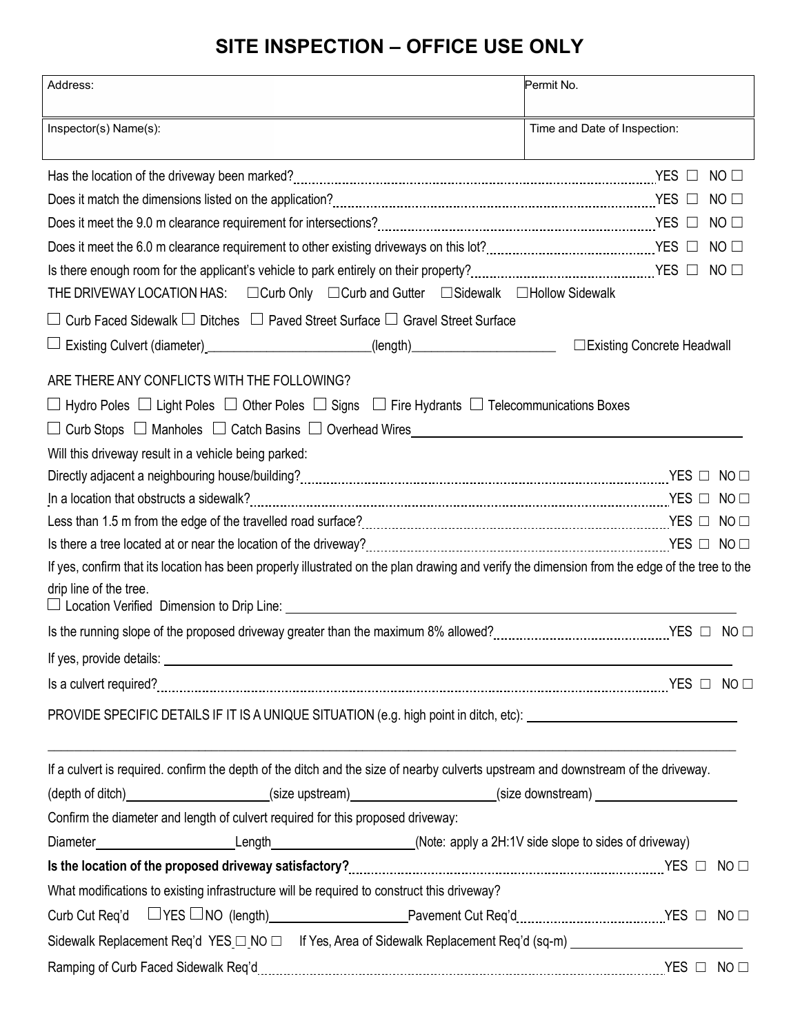## **SITE INSPECTION – OFFICE USE ONLY**

| Address:                                                                                                                                                                                                                             | Permit No.                   |                 |
|--------------------------------------------------------------------------------------------------------------------------------------------------------------------------------------------------------------------------------------|------------------------------|-----------------|
| Inspector(s) Name(s):                                                                                                                                                                                                                | Time and Date of Inspection: |                 |
|                                                                                                                                                                                                                                      |                              | NO <sub>1</sub> |
|                                                                                                                                                                                                                                      |                              | $NO$ $\square$  |
|                                                                                                                                                                                                                                      |                              | $NO$ $\Box$     |
|                                                                                                                                                                                                                                      |                              |                 |
| Is there enough room for the applicant's vehicle to park entirely on their property?<br>Inter the control, their matter theorem and the YES and YES and DO and DO and YES and Collective to park entir                               |                              |                 |
| THE DRIVEWAY LOCATION HAS: □ Curb Only □ Curb and Gutter □ Sidewalk □ Hollow Sidewalk                                                                                                                                                |                              |                 |
| Curb Faced Sidewalk □ Ditches □ Paved Street Surface □ Gravel Street Surface                                                                                                                                                         |                              |                 |
| Existing Culvert (diameter)_________________________(length)____________________                                                                                                                                                     | □ Existing Concrete Headwall |                 |
| ARE THERE ANY CONFLICTS WITH THE FOLLOWING?                                                                                                                                                                                          |                              |                 |
| $\Box$ Hydro Poles $\Box$ Light Poles $\Box$ Other Poles $\Box$ Signs $\Box$ Fire Hydrants $\Box$ Telecommunications Boxes                                                                                                           |                              |                 |
| □ Curb Stops □ Manholes □ Catch Basins □ Overhead Wires_________________________                                                                                                                                                     |                              |                 |
| Will this driveway result in a vehicle being parked:                                                                                                                                                                                 |                              |                 |
|                                                                                                                                                                                                                                      |                              |                 |
|                                                                                                                                                                                                                                      |                              |                 |
|                                                                                                                                                                                                                                      |                              |                 |
|                                                                                                                                                                                                                                      |                              |                 |
| If yes, confirm that its location has been properly illustrated on the plan drawing and verify the dimension from the edge of the tree to the                                                                                        |                              |                 |
| drip line of the tree.                                                                                                                                                                                                               |                              |                 |
| $\Box$ Location Verified Dimension to Drip Line: $\Box$                                                                                                                                                                              |                              |                 |
|                                                                                                                                                                                                                                      |                              |                 |
| If yes, provide details: <u>example and the set of the set of the set of the set of the set of the set of the set of the set of the set of the set of the set of the set of the set of the set of the set of the set of the set </u> |                              |                 |
|                                                                                                                                                                                                                                      |                              |                 |
|                                                                                                                                                                                                                                      |                              |                 |
|                                                                                                                                                                                                                                      |                              |                 |
| If a culvert is required. confirm the depth of the ditch and the size of nearby culverts upstream and downstream of the driveway.                                                                                                    |                              |                 |
| (depth of ditch)_____________________(size upstream)___________________(size downstream)______________________                                                                                                                       |                              |                 |
| Confirm the diameter and length of culvert required for this proposed driveway:                                                                                                                                                      |                              |                 |
| Diameter____________________________Length_______________________(Note: apply a 2H:1V side slope to sides of driveway)                                                                                                               |                              |                 |
|                                                                                                                                                                                                                                      |                              |                 |
| What modifications to existing infrastructure will be required to construct this driveway?                                                                                                                                           |                              |                 |
|                                                                                                                                                                                                                                      |                              |                 |
| Sidewalk Replacement Req'd YES □ NO □ If Yes, Area of Sidewalk Replacement Req'd (sq-m) ______________________                                                                                                                       |                              |                 |
|                                                                                                                                                                                                                                      |                              |                 |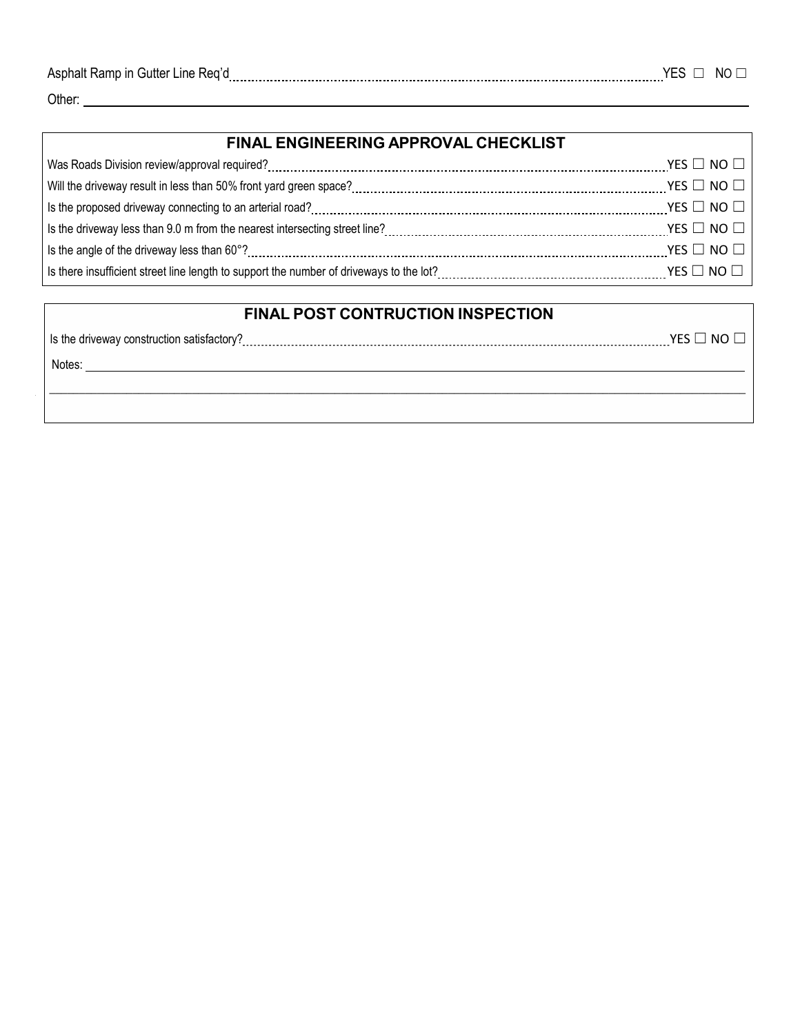| Asphalt<br>ı ıtt∩r<br>. Ker'<br>חו מר<br>une.<br>чышег<br>. salill |  | -NC |
|--------------------------------------------------------------------|--|-----|
|                                                                    |  |     |
|                                                                    |  |     |

Other:

| FINAL ENGINEERING APPROVAL CHECKLIST                                                                                                                                                                                                                                                                           |                            |  |
|----------------------------------------------------------------------------------------------------------------------------------------------------------------------------------------------------------------------------------------------------------------------------------------------------------------|----------------------------|--|
|                                                                                                                                                                                                                                                                                                                | YES $\Box$ No $\Box$       |  |
| Will the driveway result in less than 50% front yard green space?<br>$\ldots$ $\ldots$ $\ldots$ $\ldots$ $\ldots$ $\ldots$ $\ldots$ $\ldots$ $\ldots$ $\ldots$ $\ldots$ $\ldots$ $\ldots$ $\ldots$ $\ldots$ $\ldots$ $\ldots$ $\ldots$ $\ldots$ $\ldots$ $\ldots$ $\ldots$ $\ldots$ $\ldots$ $\ldots$ $\ldots$ |                            |  |
|                                                                                                                                                                                                                                                                                                                | YES $\square$ NO $\square$ |  |
|                                                                                                                                                                                                                                                                                                                |                            |  |
|                                                                                                                                                                                                                                                                                                                | YES $\Box$ NO $\Box$       |  |
|                                                                                                                                                                                                                                                                                                                |                            |  |

## **FINAL POST CONTRUCTION INSPECTION**

| Is the driveway construction satisfactory? | NO.<br>YES L |
|--------------------------------------------|--------------|
| Notes:                                     |              |
|                                            |              |
|                                            |              |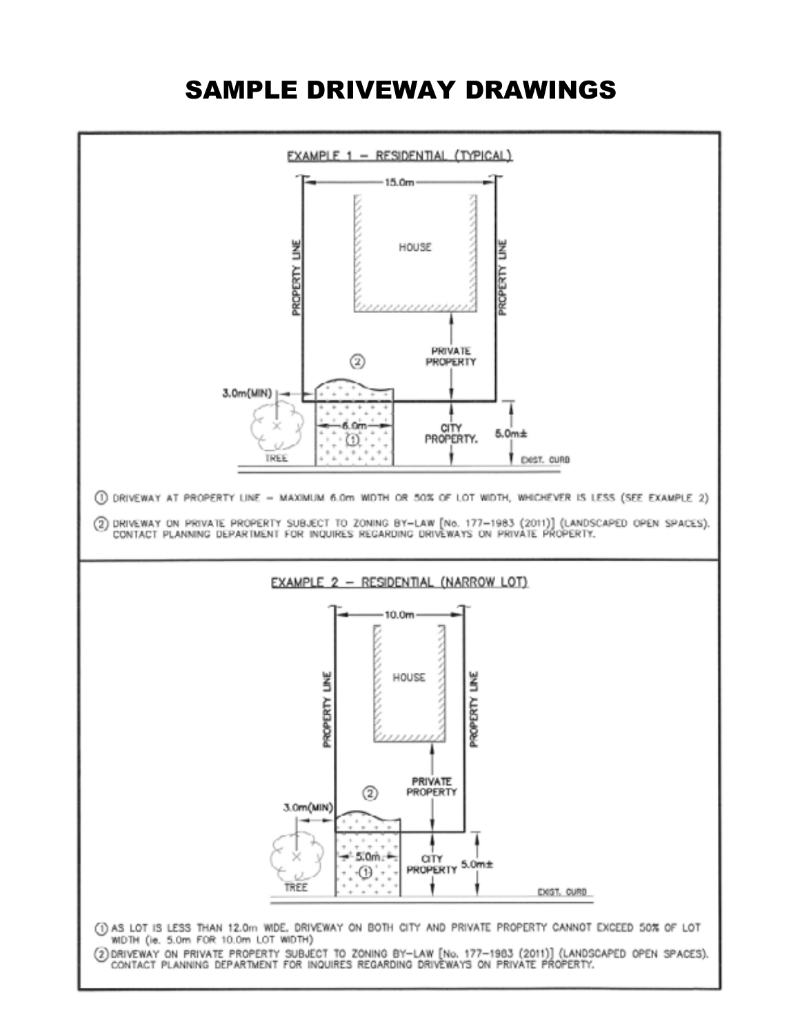## SAMPLE DRIVEWAY DRAWINGS